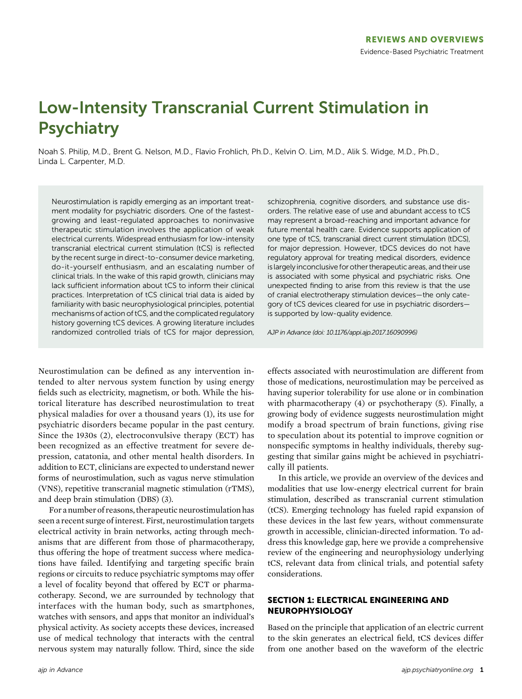# Low-Intensity Transcranial Current Stimulation in **Psychiatry**

Noah S. Philip, M.D., Brent G. Nelson, M.D., Flavio Frohlich, Ph.D., Kelvin O. Lim, M.D., Alik S. Widge, M.D., Ph.D., Linda L. Carpenter, M.D.

Neurostimulation is rapidly emerging as an important treatment modality for psychiatric disorders. One of the fastestgrowing and least-regulated approaches to noninvasive therapeutic stimulation involves the application of weak electrical currents. Widespread enthusiasm for low-intensity transcranial electrical current stimulation (tCS) is reflected by the recent surge in direct-to-consumer device marketing, do-it-yourself enthusiasm, and an escalating number of clinical trials. In the wake of this rapid growth, clinicians may lack sufficient information about tCS to inform their clinical practices. Interpretation of tCS clinical trial data is aided by familiarity with basic neurophysiological principles, potential mechanisms of action of tCS, and the complicated regulatory history governing tCS devices. A growing literature includes randomized controlled trials of tCS for major depression,

Neurostimulation can be defined as any intervention intended to alter nervous system function by using energy fields such as electricity, magnetism, or both. While the historical literature has described neurostimulation to treat physical maladies for over a thousand years (1), its use for psychiatric disorders became popular in the past century. Since the 1930s (2), electroconvulsive therapy (ECT) has been recognized as an effective treatment for severe depression, catatonia, and other mental health disorders. In addition to ECT, clinicians are expected to understand newer forms of neurostimulation, such as vagus nerve stimulation (VNS), repetitive transcranial magnetic stimulation (rTMS), and deep brain stimulation (DBS) (3).

For a number of reasons, therapeutic neurostimulation has seen a recent surge of interest. First, neurostimulation targets electrical activity in brain networks, acting through mechanisms that are different from those of pharmacotherapy, thus offering the hope of treatment success where medications have failed. Identifying and targeting specific brain regions or circuits to reduce psychiatric symptoms may offer a level of focality beyond that offered by ECT or pharmacotherapy. Second, we are surrounded by technology that interfaces with the human body, such as smartphones, watches with sensors, and apps that monitor an individual's physical activity. As society accepts these devices, increased use of medical technology that interacts with the central nervous system may naturally follow. Third, since the side schizophrenia, cognitive disorders, and substance use disorders. The relative ease of use and abundant access to tCS may represent a broad-reaching and important advance for future mental health care. Evidence supports application of one type of tCS, transcranial direct current stimulation (tDCS), for major depression. However, tDCS devices do not have regulatory approval for treating medical disorders, evidence is largely inconclusive for other therapeutic areas, and their use is associated with some physical and psychiatric risks. One unexpected finding to arise from this review is that the use of cranial electrotherapy stimulation devices—the only category of tCS devices cleared for use in psychiatric disorders is supported by low-quality evidence.

AJP in Advance (doi: 10.1176/appi.ajp.2017.16090996)

effects associated with neurostimulation are different from those of medications, neurostimulation may be perceived as having superior tolerability for use alone or in combination with pharmacotherapy (4) or psychotherapy (5). Finally, a growing body of evidence suggests neurostimulation might modify a broad spectrum of brain functions, giving rise to speculation about its potential to improve cognition or nonspecific symptoms in healthy individuals, thereby suggesting that similar gains might be achieved in psychiatrically ill patients.

In this article, we provide an overview of the devices and modalities that use low-energy electrical current for brain stimulation, described as transcranial current stimulation (tCS). Emerging technology has fueled rapid expansion of these devices in the last few years, without commensurate growth in accessible, clinician-directed information. To address this knowledge gap, here we provide a comprehensive review of the engineering and neurophysiology underlying tCS, relevant data from clinical trials, and potential safety considerations.

# SECTION 1: ELECTRICAL ENGINEERING AND NEUROPHYSIOLOGY

Based on the principle that application of an electric current to the skin generates an electrical field, tCS devices differ from one another based on the waveform of the electric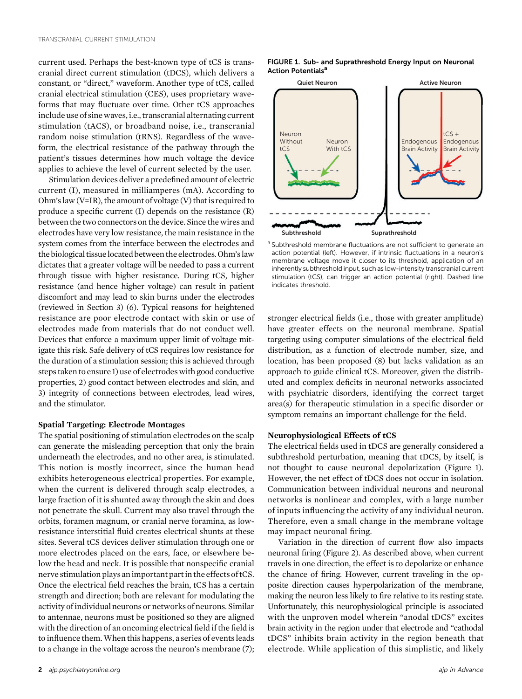current used. Perhaps the best-known type of tCS is transcranial direct current stimulation (tDCS), which delivers a constant, or "direct," waveform. Another type of tCS, called cranial electrical stimulation (CES), uses proprietary waveforms that may fluctuate over time. Other tCS approaches include use of sine waves, i.e., transcranial alternating current stimulation (tACS), or broadband noise, i.e., transcranial random noise stimulation (tRNS). Regardless of the waveform, the electrical resistance of the pathway through the patient's tissues determines how much voltage the device applies to achieve the level of current selected by the user.

Stimulation devices deliver a predefined amount of electric current (I), measured in milliamperes (mA). According to Ohm's law (V=IR), the amount of voltage (V) that is required to produce a specific current (I) depends on the resistance (R) between the two connectors on the device. Since the wires and electrodes have very low resistance, the main resistance in the system comes from the interface between the electrodes and the biological tissue located between the electrodes. Ohm's law dictates that a greater voltage will be needed to pass a current through tissue with higher resistance. During tCS, higher resistance (and hence higher voltage) can result in patient discomfort and may lead to skin burns under the electrodes (reviewed in Section 3) (6). Typical reasons for heightened resistance are poor electrode contact with skin or use of electrodes made from materials that do not conduct well. Devices that enforce a maximum upper limit of voltage mitigate this risk. Safe delivery of tCS requires low resistance for the duration of a stimulation session; this is achieved through steps taken to ensure 1) use of electrodes with good conductive properties, 2) good contact between electrodes and skin, and 3) integrity of connections between electrodes, lead wires, and the stimulator.

## Spatial Targeting: Electrode Montages

The spatial positioning of stimulation electrodes on the scalp can generate the misleading perception that only the brain underneath the electrodes, and no other area, is stimulated. This notion is mostly incorrect, since the human head exhibits heterogeneous electrical properties. For example, when the current is delivered through scalp electrodes, a large fraction of it is shunted away through the skin and does not penetrate the skull. Current may also travel through the orbits, foramen magnum, or cranial nerve foramina, as lowresistance interstitial fluid creates electrical shunts at these sites. Several tCS devices deliver stimulation through one or more electrodes placed on the ears, face, or elsewhere below the head and neck. It is possible that nonspecific cranial nerve stimulation plays animportant partin the effects of tCS. Once the electrical field reaches the brain, tCS has a certain strength and direction; both are relevant for modulating the activity of individual neurons or networks of neurons. Similar to antennae, neurons must be positioned so they are aligned with the direction of an oncoming electrical field if the field is to influence them.When this happens, a series of events leads to a change in the voltage across the neuron's membrane (7);





<sup>a</sup> Subthreshold membrane fluctuations are not sufficient to generate an action potential (left). However, if intrinsic fluctuations in a neuron's membrane voltage move it closer to its threshold, application of an inherently subthreshold input, such as low-intensity transcranial current stimulation (tCS), can trigger an action potential (right). Dashed line indicates threshold.

stronger electrical fields (i.e., those with greater amplitude) have greater effects on the neuronal membrane. Spatial targeting using computer simulations of the electrical field distribution, as a function of electrode number, size, and location, has been proposed (8) but lacks validation as an approach to guide clinical tCS. Moreover, given the distributed and complex deficits in neuronal networks associated with psychiatric disorders, identifying the correct target area(s) for therapeutic stimulation in a specific disorder or symptom remains an important challenge for the field.

## Neurophysiological Effects of tCS

The electrical fields used in tDCS are generally considered a subthreshold perturbation, meaning that tDCS, by itself, is not thought to cause neuronal depolarization (Figure 1). However, the net effect of tDCS does not occur in isolation. Communication between individual neurons and neuronal networks is nonlinear and complex, with a large number of inputs influencing the activity of any individual neuron. Therefore, even a small change in the membrane voltage may impact neuronal firing.

Variation in the direction of current flow also impacts neuronal firing (Figure 2). As described above, when current travels in one direction, the effect is to depolarize or enhance the chance of firing. However, current traveling in the opposite direction causes hyperpolarization of the membrane, making the neuron less likely to fire relative to its resting state. Unfortunately, this neurophysiological principle is associated with the unproven model wherein "anodal tDCS" excites brain activity in the region under that electrode and "cathodal tDCS" inhibits brain activity in the region beneath that electrode. While application of this simplistic, and likely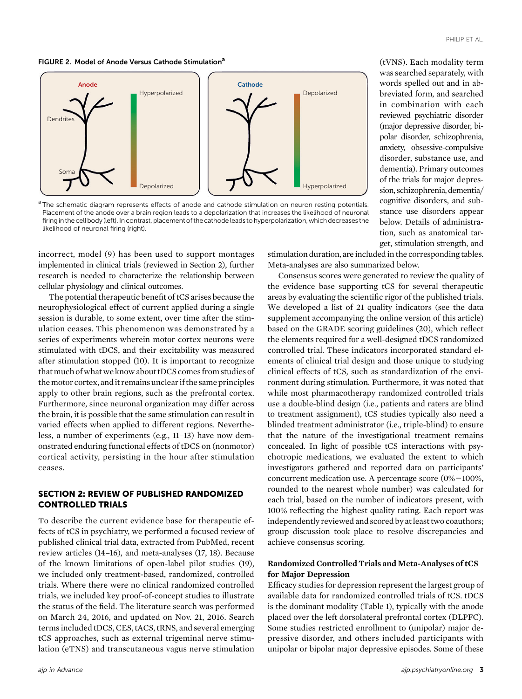#### FIGURE 2. Model of Anode Versus Cathode Stimulation<sup>a</sup>



<sup>a</sup> The schematic diagram represents effects of anode and cathode stimulation on neuron resting potentials. Placement of the anode over a brain region leads to a depolarization that increases the likelihood of neuronal firing in the cell body (left). In contrast, placement of the cathode leads to hyperpolarization, which decreases the likelihood of neuronal firing (right).

incorrect, model (9) has been used to support montages implemented in clinical trials (reviewed in Section 2), further research is needed to characterize the relationship between cellular physiology and clinical outcomes.

The potential therapeutic benefit of tCS arises because the neurophysiological effect of current applied during a single session is durable, to some extent, over time after the stimulation ceases. This phenomenon was demonstrated by a series of experiments wherein motor cortex neurons were stimulated with tDCS, and their excitability was measured after stimulation stopped (10). It is important to recognize that much of what we know about tDCS comes from studies of themotor cortex, andit remains unclearif the same principles apply to other brain regions, such as the prefrontal cortex. Furthermore, since neuronal organization may differ across the brain, it is possible that the same stimulation can result in varied effects when applied to different regions. Nevertheless, a number of experiments (e.g., 11–13) have now demonstrated enduring functional effects of tDCS on (nonmotor) cortical activity, persisting in the hour after stimulation ceases.

## SECTION 2: REVIEW OF PUBLISHED RANDOMIZED CONTROLLED TRIALS

To describe the current evidence base for therapeutic effects of tCS in psychiatry, we performed a focused review of published clinical trial data, extracted from PubMed, recent review articles (14–16), and meta-analyses (17, 18). Because of the known limitations of open-label pilot studies (19), we included only treatment-based, randomized, controlled trials. Where there were no clinical randomized controlled trials, we included key proof-of-concept studies to illustrate the status of the field. The literature search was performed on March 24, 2016, and updated on Nov. 21, 2016. Search terms included tDCS, CES, tACS, tRNS, and several emerging tCS approaches, such as external trigeminal nerve stimulation (eTNS) and transcutaneous vagus nerve stimulation

(tVNS). Each modality term was searched separately, with words spelled out and in abbreviated form, and searched in combination with each reviewed psychiatric disorder (major depressive disorder, bipolar disorder, schizophrenia, anxiety, obsessive-compulsive disorder, substance use, and dementia). Primary outcomes of the trials for major depression, schizophrenia, dementia/ cognitive disorders, and substance use disorders appear below. Details of administration, such as anatomical target, stimulation strength, and

stimulation duration, are included in the corresponding tables. Meta-analyses are also summarized below.

Consensus scores were generated to review the quality of the evidence base supporting tCS for several therapeutic areas by evaluating the scientific rigor of the published trials. We developed a list of 21 quality indicators (see the data supplement accompanying the online version of this article) based on the GRADE scoring guidelines (20), which reflect the elements required for a well-designed tDCS randomized controlled trial. These indicators incorporated standard elements of clinical trial design and those unique to studying clinical effects of tCS, such as standardization of the environment during stimulation. Furthermore, it was noted that while most pharmacotherapy randomized controlled trials use a double-blind design (i.e., patients and raters are blind to treatment assignment), tCS studies typically also need a blinded treatment administrator (i.e., triple-blind) to ensure that the nature of the investigational treatment remains concealed. In light of possible tCS interactions with psychotropic medications, we evaluated the extent to which investigators gathered and reported data on participants' concurrent medication use. A percentage score  $(0\% - 100\%$ , rounded to the nearest whole number) was calculated for each trial, based on the number of indicators present, with 100% reflecting the highest quality rating. Each report was independently reviewed and scored by at least two coauthors; group discussion took place to resolve discrepancies and achieve consensus scoring.

## Randomized Controlled Trials and Meta-Analyses of tCS for Major Depression

Efficacy studies for depression represent the largest group of available data for randomized controlled trials of tCS. tDCS is the dominant modality (Table 1), typically with the anode placed over the left dorsolateral prefrontal cortex (DLPFC). Some studies restricted enrollment to (unipolar) major depressive disorder, and others included participants with unipolar or bipolar major depressive episodes. Some of these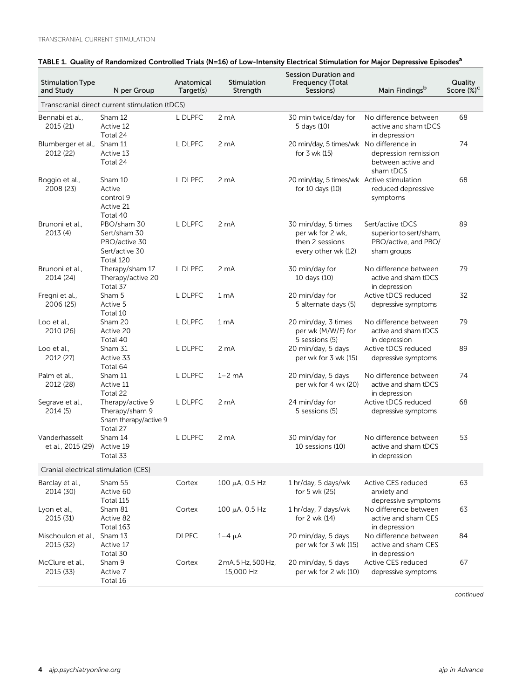| <b>Stimulation Type</b><br>and Study | N per Group                                                                 | Anatomical<br>Target(s) | Stimulation<br>Strength          | Session Duration and<br>Frequency (Total<br>Sessions)                             | Main Findings <sup>b</sup>                                                        | Quality<br>Score (%) <sup>c</sup> |
|--------------------------------------|-----------------------------------------------------------------------------|-------------------------|----------------------------------|-----------------------------------------------------------------------------------|-----------------------------------------------------------------------------------|-----------------------------------|
|                                      | Transcranial direct current stimulation (tDCS)                              |                         |                                  |                                                                                   |                                                                                   |                                   |
| Bennabi et al.,<br>2015 (21)         | Sham 12<br>Active 12<br>Total 24                                            | L DLPFC                 | 2 <sub>m</sub> A                 | 30 min twice/day for<br>5 days (10)                                               | No difference between<br>active and sham tDCS<br>in depression                    | 68                                |
| Blumberger et al.,<br>2012 (22)      | Sham 11<br>Active 13<br>Total 24                                            | L DLPFC                 | 2 <sub>m</sub> A                 | 20 min/day, 5 times/wk No difference in<br>for 3 wk (15)                          | depression remission<br>between active and<br>sham tDCS                           | 74                                |
| Boggio et al.,<br>2008 (23)          | Sham 10<br>Active<br>control 9<br>Active 21<br>Total 40                     | L DLPFC                 | 2 <sub>m</sub> A                 | 20 min/day, 5 times/wk Active stimulation<br>for 10 days (10)                     | reduced depressive<br>symptoms                                                    | 68                                |
| Brunoni et al.,<br>2013(4)           | PBO/sham 30<br>Sert/sham 30<br>PBO/active 30<br>Sert/active 30<br>Total 120 | L DLPFC                 | 2 <sub>m</sub> A                 | 30 min/day, 5 times<br>per wk for 2 wk,<br>then 2 sessions<br>every other wk (12) | Sert/active tDCS<br>superior to sert/sham,<br>PBO/active, and PBO/<br>sham groups | 89                                |
| Brunoni et al.,<br>2014 (24)         | Therapy/sham 17<br>Therapy/active 20<br>Total 37                            | L DLPFC                 | 2 <sub>m</sub> A                 | 30 min/day for<br>10 days (10)                                                    | No difference between<br>active and sham tDCS<br>in depression                    | 79                                |
| Fregni et al.,<br>2006 (25)          | Sham 5<br>Active 5<br>Total 10                                              | L DLPFC                 | 1 <sub>mA</sub>                  | 20 min/day for<br>5 alternate days (5)                                            | Active tDCS reduced<br>depressive symptoms                                        | 32                                |
| Loo et al<br>2010 (26)               | Sham 20<br>Active 20<br>Total 40                                            | L DLPFC                 | 1 mA                             | 20 min/day, 3 times<br>per wk (M/W/F) for<br>5 sessions (5)                       | No difference between<br>active and sham tDCS<br>in depression                    | 79                                |
| Loo et al.,<br>2012 (27)             | Sham 31<br>Active 33<br>Total 64                                            | L DLPFC                 | 2 <sub>m</sub> A                 | 20 min/day, 5 days<br>per wk for 3 wk (15)                                        | Active tDCS reduced<br>depressive symptoms                                        | 89                                |
| Palm et al.,<br>2012 (28)            | Sham 11<br>Active 11<br>Total 22                                            | L DLPFC                 | $1-2$ mA                         | 20 min/day, 5 days<br>per wk for 4 wk (20)                                        | No difference between<br>active and sham tDCS<br>in depression                    | 74                                |
| Segrave et al.,<br>2014 (5)          | Therapy/active 9<br>Therapy/sham 9<br>Sham therapy/active 9<br>Total 27     | L DLPFC                 | 2 <sub>m</sub> A                 | 24 min/day for<br>5 sessions (5)                                                  | Active tDCS reduced<br>depressive symptoms                                        | 68                                |
| Vanderhasselt<br>et al., 2015 (29)   | Sham 14<br>Active 19<br>Total 33                                            | L DLPFC                 | 2 <sub>m</sub> A                 | 30 min/day for<br>10 sessions (10)                                                | No difference between<br>active and sham tDCS<br>in depression                    | 53                                |
| Cranial electrical stimulation (CES) |                                                                             |                         |                                  |                                                                                   |                                                                                   |                                   |
| Barclay et al.,<br>2014 (30)         | Sham 55<br>Active 60<br>Total 115                                           | Cortex                  | 100 μA, 0.5 Hz                   | 1 hr/day, 5 days/wk<br>for 5 wk (25)                                              | Active CES reduced<br>anxiety and<br>depressive symptoms                          | 63                                |
| Lyon et al.,<br>2015 (31)            | Sham 81<br>Active 82<br>Total 163                                           | Cortex                  | 100 μA, 0.5 Hz                   | 1 hr/day, 7 days/wk<br>for 2 wk (14)                                              | No difference between<br>active and sham CES<br>in depression                     | 63                                |
| Mischoulon et al.,<br>2015 (32)      | Sham 13<br>Active 17<br>Total 30                                            | <b>DLPFC</b>            | $1-4 \mu A$                      | 20 min/day, 5 days<br>per wk for 3 wk (15)                                        | No difference between<br>active and sham CES<br>in depression                     | 84                                |
| McClure et al.,<br>2015 (33)         | Sham 9<br>Active 7<br>Total 16                                              | Cortex                  | 2 mA, 5 Hz, 500 Hz,<br>15,000 Hz | 20 min/day, 5 days<br>per wk for 2 wk (10)                                        | Active CES reduced<br>depressive symptoms                                         | 67                                |

# TABLE 1. Quality of Randomized Controlled Trials (N=16) of Low-Intensity Electrical Stimulation for Major Depressive Episodes<sup>a</sup>

continued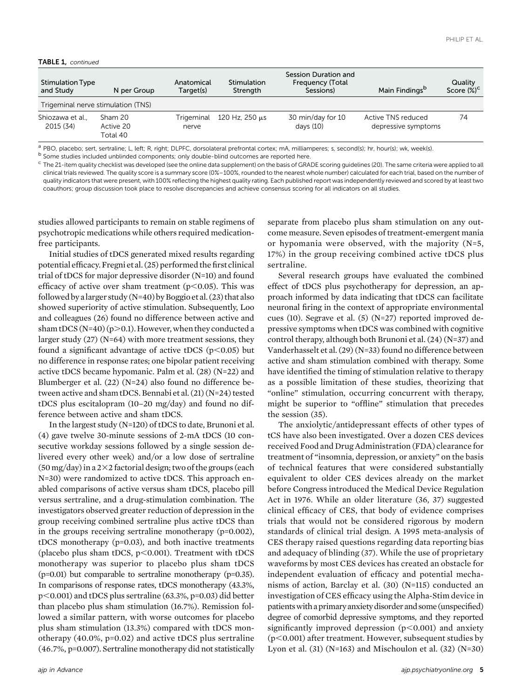#### TABLE 1, continued

| <b>Stimulation Type</b><br>and Study | N per Group                        | Anatomical<br>Target(s) | Stimulation<br>Strength | Session Duration and<br>Frequency (Total<br>Sessions) | Main Findings <sup>b</sup>                | Quality<br>Score $(\%)^C$ |
|--------------------------------------|------------------------------------|-------------------------|-------------------------|-------------------------------------------------------|-------------------------------------------|---------------------------|
|                                      | Trigeminal nerve stimulation (TNS) |                         |                         |                                                       |                                           |                           |
| Shiozawa et al.,<br>2015 (34)        | Sham 20<br>Active 20<br>Total 40   | Trigeminal<br>nerve     | 120 Hz, $250 \mu s$     | 30 min/day for 10<br>days $(10)$                      | Active TNS reduced<br>depressive symptoms | 74                        |

<sup>a</sup> PBO, placebo; sert, sertraline; L, left; R, right; DLPFC, dorsolateral prefrontal cortex; mA, milliamperes; s, second(s); hr, hour(s); wk, week(s).<br><sup>b</sup> Some studies included unblinded components; only double-blind outc

 $\textdegree$  The 21-item quality checklist was developed (see the online data supplement) on the basis of GRADE scoring guidelines (20). The same criteria were applied to all clinical trials reviewed. The quality score is a summary score (0%–100%, rounded to the nearest whole number) calculated for each trial, based on the number of quality indicators that were present, with 100% reflecting the highest quality rating. Each published report was independently reviewed and scored by at least two coauthors; group discussion took place to resolve discrepancies and achieve consensus scoring for all indicators on all studies.

studies allowed participants to remain on stable regimens of psychotropic medications while others required medicationfree participants.

Initial studies of tDCS generated mixed results regarding potential efficacy. Fregni et al. (25) performed the first clinical trial of tDCS for major depressive disorder (N=10) and found efficacy of active over sham treatment ( $p<0.05$ ). This was followed by a larger study (N=40) by Boggio et al.  $(23)$  that also showed superiority of active stimulation. Subsequently, Loo and colleagues (26) found no difference between active and sham tDCS (N=40) ( $p>0.1$ ). However, when they conducted a larger study (27) (N=64) with more treatment sessions, they found a significant advantage of active tDCS ( $p$ <0.05) but no difference in response rates; one bipolar patient receiving active tDCS became hypomanic. Palm et al. (28) (N=22) and Blumberger et al. (22) (N=24) also found no difference between active and sham tDCS. Bennabi et al. (21) (N=24) tested tDCS plus escitalopram (10–20 mg/day) and found no difference between active and sham tDCS.

In the largest study (N=120) of tDCS to date, Brunoni et al. (4) gave twelve 30-minute sessions of 2-mA tDCS (10 consecutive workday sessions followed by a single session delivered every other week) and/or a low dose of sertraline  $(50 \,\text{mg/day})$  in a 2 $\times$ 2 factorial design; two of the groups (each N=30) were randomized to active tDCS. This approach enabled comparisons of active versus sham tDCS, placebo pill versus sertraline, and a drug-stimulation combination. The investigators observed greater reduction of depression in the group receiving combined sertraline plus active tDCS than in the groups receiving sertraline monotherapy (p=0.002), tDCS monotherapy (p=0.03), and both inactive treatments (placebo plus sham tDCS,  $p<0.001$ ). Treatment with tDCS monotherapy was superior to placebo plus sham tDCS  $(p=0.01)$  but comparable to sertraline monotherapy  $(p=0.35)$ . In comparisons of response rates, tDCS monotherapy (43.3%,  $p<0.001$ ) and tDCS plus sertraline (63.3%, p=0.03) did better than placebo plus sham stimulation (16.7%). Remission followed a similar pattern, with worse outcomes for placebo plus sham stimulation (13.3%) compared with tDCS monotherapy (40.0%, p=0.02) and active tDCS plus sertraline (46.7%, p=0.007). Sertraline monotherapy did not statistically

separate from placebo plus sham stimulation on any outcome measure. Seven episodes of treatment-emergent mania or hypomania were observed, with the majority (N=5, 17%) in the group receiving combined active tDCS plus sertraline.

Several research groups have evaluated the combined effect of tDCS plus psychotherapy for depression, an approach informed by data indicating that tDCS can facilitate neuronal firing in the context of appropriate environmental cues (10). Segrave et al. (5) (N=27) reported improved depressive symptoms when tDCS was combined with cognitive control therapy, although both Brunoni et al. (24) (N=37) and Vanderhasselt et al. (29) (N=33) found no difference between active and sham stimulation combined with therapy. Some have identified the timing of stimulation relative to therapy as a possible limitation of these studies, theorizing that "online" stimulation, occurring concurrent with therapy, might be superior to "offline" stimulation that precedes the session (35).

The anxiolytic/antidepressant effects of other types of tCS have also been investigated. Over a dozen CES devices received Food and Drug Administration (FDA) clearance for treatment of "insomnia, depression, or anxiety" on the basis of technical features that were considered substantially equivalent to older CES devices already on the market before Congress introduced the Medical Device Regulation Act in 1976. While an older literature (36, 37) suggested clinical efficacy of CES, that body of evidence comprises trials that would not be considered rigorous by modern standards of clinical trial design. A 1995 meta-analysis of CES therapy raised questions regarding data reporting bias and adequacy of blinding (37). While the use of proprietary waveforms by most CES devices has created an obstacle for independent evaluation of efficacy and potential mechanisms of action, Barclay et al. (30) (N=115) conducted an investigation of CES efficacy using the Alpha-Stim device in patientswitha primaryanxiety disorder and some (unspecified) degree of comorbid depressive symptoms, and they reported significantly improved depression  $(p<0.001)$  and anxiety  $(p<0.001)$  after treatment. However, subsequent studies by Lyon et al. (31) (N=163) and Mischoulon et al. (32) (N=30)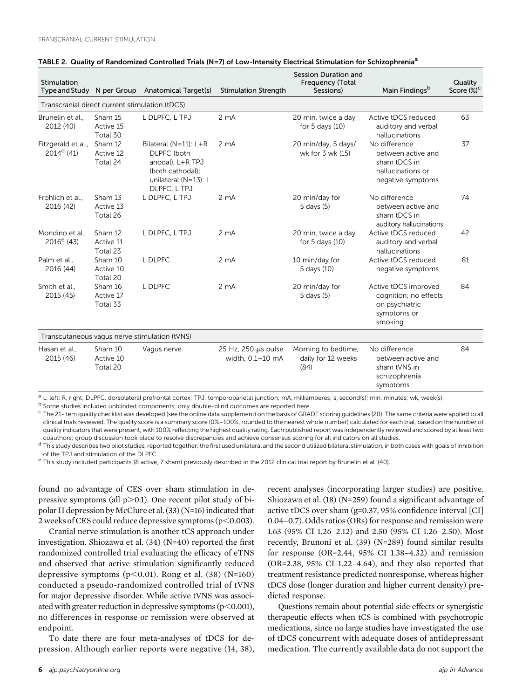| Stimulation<br>Type and Study N per Group      |                                  | <b>Anatomical Target(s)</b>                                                                                                       | <b>Stimulation Strength</b>             | Session Duration and<br>Frequency (Total<br>Sessions) | Main Findingsb                                                                                | Quality<br>Score (%) <sup>c</sup> |
|------------------------------------------------|----------------------------------|-----------------------------------------------------------------------------------------------------------------------------------|-----------------------------------------|-------------------------------------------------------|-----------------------------------------------------------------------------------------------|-----------------------------------|
| Transcranial direct current stimulation (tDCS) |                                  |                                                                                                                                   |                                         |                                                       |                                                                                               |                                   |
| Brunelin et al<br>2012 (40)                    | Sham 15<br>Active 15<br>Total 30 | L DLPFC, L TPJ                                                                                                                    | 2 <sub>mA</sub>                         | 20 min, twice a day<br>for $5$ days $(10)$            | Active tDCS reduced<br>auditory and verbal<br>hallucinations                                  | 63                                |
| Fitzgerald et al.,<br>$2014^d$ (41)            | Sham 12<br>Active 12<br>Total 24 | Bilateral ( $N=11$ ): $L+R$<br><b>DLPFC</b> (both<br>anodal), L+R TPJ<br>(both cathodal);<br>unilateral (N=13): L<br>DLPFC, L TPJ | 2 <sub>mA</sub>                         | 20 min/day, 5 days/<br>wk for 3 wk (15)               | No difference<br>between active and<br>sham tDCS in<br>hallucinations or<br>negative symptoms | 37                                |
| Frohlich et al.,<br>2016 (42)                  | Sham 13<br>Active 13<br>Total 26 | L DLPFC, L TPJ                                                                                                                    | 2 <sub>m</sub> A                        | 20 min/day for<br>5 days (5)                          | No difference<br>between active and<br>sham tDCS in<br>auditory hallucinations                | 74                                |
| Mondino et al.,<br>$2016^e$ (43)               | Sham 12<br>Active 11<br>Total 23 | L DLPFC, L TPJ                                                                                                                    | 2 <sub>mA</sub>                         | 20 min, twice a day<br>for $5$ days $(10)$            | Active tDCS reduced<br>auditory and verbal<br>hallucinations                                  | 42                                |
| Palm et al.,<br>2016 (44)                      | Sham 10<br>Active 10<br>Total 20 | L DLPFC                                                                                                                           | 2 <sub>mA</sub>                         | 10 min/day for<br>5 days (10)                         | Active tDCS reduced<br>negative symptoms                                                      | 81                                |
| Smith et al.,<br>2015 (45)                     | Sham 16<br>Active 17<br>Total 33 | L DLPFC                                                                                                                           | 2 <sub>m</sub> A                        | 20 min/day for<br>5 days (5)                          | Active tDCS improved<br>cognition; no effects<br>on psychiatric<br>symptoms or<br>smoking     | 84                                |
|                                                |                                  | Transcutaneous vagus nerve stimulation (tVNS)                                                                                     |                                         |                                                       |                                                                                               |                                   |
| Hasan et al.,<br>2015 (46)                     | Sham 10<br>Active 10<br>Total 20 | Vagus nerve                                                                                                                       | 25 Hz, 250 µs pulse<br>width, 0.1-10 mA | Morning to bedtime,<br>daily for 12 weeks<br>(84)     | No difference<br>between active and<br>sham tVNS in<br>schizophrenia<br>symptoms              | 84                                |

#### TABLE 2. Quality of Randomized Controlled Trials (N=7) of Low-Intensity Electrical Stimulation for Schizophrenia<sup>a</sup>

Some studies included unblinded components; only double-blind outcomes are reported here.

 $^{\rm c}$  The 21-item quality checklist was developed (see the online data supplement) on the basis of GRADE scoring guidelines (20). The same criteria were applied to all clinical trials reviewed. The quality score is a summary score (0%–100%, rounded to the nearest whole number) calculated for each trial, based on the number of quality indicators that were present, with 100% reflecting the highest quality rating. Each published report was independently reviewed and scored by at least two coauthors; group discussion took place to resolve discrepancies and achieve consensus scoring for all indicators on all studies.

<sup>d</sup> This study describes two pilot studies, reported together; the first used unilateral and the second utilized bilateral stimulation, in both cases with goals of inhibition of the TPJ and stimulation of the DLPFC.

e This study included participants (8 active, 7 sham) previously described in the 2012 clinical trial report by Brunelin et al. (40).

found no advantage of CES over sham stimulation in depressive symptoms (all  $p>0.1$ ). One recent pilot study of bipolar II depression by McClure et al. (33) (N=16) indicated that 2 weeks of CES could reduce depressive symptoms ( $p$ <0.003).

Cranial nerve stimulation is another tCS approach under investigation. Shiozawa et al. (34) (N=40) reported the first randomized controlled trial evaluating the efficacy of eTNS and observed that active stimulation significantly reduced depressive symptoms ( $p<0.01$ ). Rong et al. (38) (N=160) conducted a pseudo-randomized controlled trial of tVNS for major depressive disorder. While active tVNS was associated with greater reduction in depressive symptoms  $(p<0.001)$ , no differences in response or remission were observed at endpoint.

To date there are four meta-analyses of tDCS for depression. Although earlier reports were negative (14, 38), recent analyses (incorporating larger studies) are positive. Shiozawa et al. (18) (N=259) found a significant advantage of active tDCS over sham (g=0.37, 95% confidence interval [CI] 0.04–0.7). Odds ratios (ORs) for response and remission were 1.63 (95% CI 1.26–2.12) and 2.50 (95% CI 1.26–2.50). Most recently, Brunoni et al. (39) (N=289) found similar results for response (OR=2.44, 95% CI 1.38–4.32) and remission (OR=2.38, 95% CI 1.22–4.64), and they also reported that treatment resistance predicted nonresponse, whereas higher tDCS dose (longer duration and higher current density) predicted response.

Questions remain about potential side effects or synergistic therapeutic effects when tCS is combined with psychotropic medications, since no large studies have investigated the use of tDCS concurrent with adequate doses of antidepressant medication. The currently available data do not support the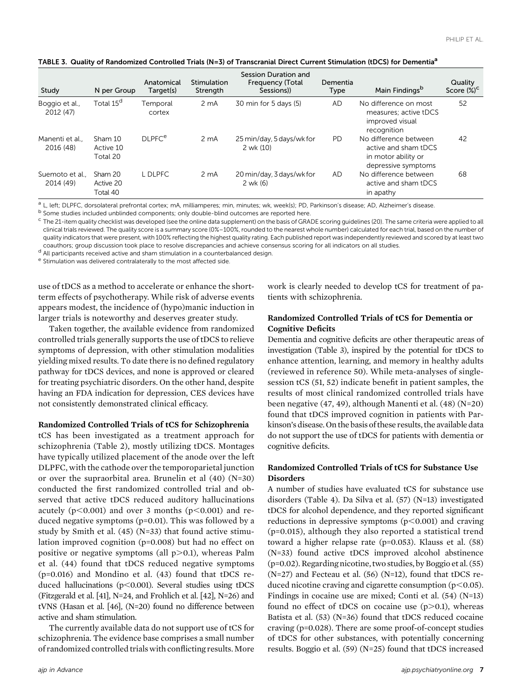|  |  |  |  |  | TABLE 3. Quality of Randomized Controlled Trials (N=3) of Transcranial Direct Current Stimulation (tDCS) for Dementia <sup>a</sup> |
|--|--|--|--|--|------------------------------------------------------------------------------------------------------------------------------------|
|--|--|--|--|--|------------------------------------------------------------------------------------------------------------------------------------|

| Study                       | N per Group                      | Anatomical<br>Target(s)  | Stimulation<br>Strength | Session Duration and<br><b>Frequency (Total</b><br>Sessions) | Dementia<br>Type | Main Findings <sup>b</sup>                                                                  | Quality<br>Score $(\%)^C$ |
|-----------------------------|----------------------------------|--------------------------|-------------------------|--------------------------------------------------------------|------------------|---------------------------------------------------------------------------------------------|---------------------------|
| Boggio et al.,<br>2012 (47) | Total 15 <sup>d</sup>            | Temporal<br>cortex       | 2 <sub>m</sub> A        | 30 min for 5 days (5)                                        | <b>AD</b>        | No difference on most<br>measures; active tDCS<br>improved visual<br>recognition            | 52                        |
| Manenti et al<br>2016 (48)  | Sham 10<br>Active 10<br>Total 20 | <b>DLPFC<sup>e</sup></b> | 2 <sub>m</sub> A        | 25 min/day, 5 days/wk for<br>2 wk (10)                       | <b>PD</b>        | No difference between<br>active and sham tDCS<br>in motor ability or<br>depressive symptoms | 42                        |
| Suemoto et al<br>2014 (49)  | Sham 20<br>Active 20<br>Total 40 | L DLPFC                  | 2 <sub>m</sub> A        | 20 min/day, 3 days/wk for<br>$2$ wk (6)                      | <b>AD</b>        | No difference between<br>active and sham tDCS<br>in apathy                                  | 68                        |

<sup>a</sup> L, left; DLPFC, dorsolateral prefrontal cortex; mA, milliamperes; min, minutes; wk, week(s); PD, Parkinson's disease; AD, Alzheimer's disease.<br><sup>b</sup> Some studies included unblinded components; only double-blind outcomes

<sup>c</sup> The 21-item quality checklist was developed (see the online data supplement) on the basis of GRADE scoring guidelines (20). The same criteria were applied to all clinical trials reviewed. The quality score is a summary score (0%–100%, rounded to the nearest whole number) calculated for each trial, based on the number of quality indicators that were present, with 100% reflecting the highest quality rating. Each published report was independently reviewed and scored by at least two coauthors; group discussion took place to resolve discrepancies and achieve consensus scoring for all indicators on all studies.

<sup>d</sup> All participants received active and sham stimulation in a counterbalanced design.

e Stimulation was delivered contralaterally to the most affected side.

use of tDCS as a method to accelerate or enhance the shortterm effects of psychotherapy. While risk of adverse events appears modest, the incidence of (hypo)manic induction in larger trials is noteworthy and deserves greater study.

Taken together, the available evidence from randomized controlled trials generally supports the use of tDCS to relieve symptoms of depression, with other stimulation modalities yielding mixed results. To date there is no defined regulatory pathway for tDCS devices, and none is approved or cleared for treating psychiatric disorders. On the other hand, despite having an FDA indication for depression, CES devices have not consistently demonstrated clinical efficacy.

#### Randomized Controlled Trials of tCS for Schizophrenia

tCS has been investigated as a treatment approach for schizophrenia (Table 2), mostly utilizing tDCS. Montages have typically utilized placement of the anode over the left DLPFC, with the cathode over the temporoparietal junction or over the supraorbital area. Brunelin et al (40) (N=30) conducted the first randomized controlled trial and observed that active tDCS reduced auditory hallucinations acutely ( $p<0.001$ ) and over 3 months ( $p<0.001$ ) and reduced negative symptoms (p=0.01). This was followed by a study by Smith et al. (45) (N=33) that found active stimulation improved cognition (p=0.008) but had no effect on positive or negative symptoms (all  $p>0.1$ ), whereas Palm et al. (44) found that tDCS reduced negative symptoms (p=0.016) and Mondino et al. (43) found that tDCS reduced hallucinations ( $p$ <0.001). Several studies using tDCS (Fitzgerald et al. [41], N=24, and Frohlich et al. [42], N=26) and tVNS (Hasan et al. [46], (N=20) found no difference between active and sham stimulation.

The currently available data do not support use of tCS for schizophrenia. The evidence base comprises a small number of randomized controlled trials with conflicting results.More work is clearly needed to develop tCS for treatment of patients with schizophrenia.

## Randomized Controlled Trials of tCS for Dementia or Cognitive Deficits

Dementia and cognitive deficits are other therapeutic areas of investigation (Table 3), inspired by the potential for tDCS to enhance attention, learning, and memory in healthy adults (reviewed in reference 50). While meta-analyses of singlesession tCS (51, 52) indicate benefit in patient samples, the results of most clinical randomized controlled trials have been negative (47, 49), although Manenti et al. (48) (N=20) found that tDCS improved cognition in patients with Parkinson's disease. On the basis of these results, the available data do not support the use of tDCS for patients with dementia or cognitive deficits.

## Randomized Controlled Trials of tCS for Substance Use **Disorders**

A number of studies have evaluated tCS for substance use disorders (Table 4). Da Silva et al. (57) (N=13) investigated tDCS for alcohol dependence, and they reported significant reductions in depressive symptoms  $(p<0.001)$  and craving (p=0.015), although they also reported a statistical trend toward a higher relapse rate (p=0.053). Klauss et al. (58) (N=33) found active tDCS improved alcohol abstinence (p=0.02). Regarding nicotine, two studies, by Boggio et al. (55)  $(N=27)$  and Fecteau et al.  $(56)$   $(N=12)$ , found that tDCS reduced nicotine craving and cigarette consumption ( $p$ <0.05). Findings in cocaine use are mixed; Conti et al. (54) (N=13) found no effect of tDCS on cocaine use  $(p>0.1)$ , whereas Batista et al. (53) (N=36) found that tDCS reduced cocaine craving (p=0.028). There are some proof-of-concept studies of tDCS for other substances, with potentially concerning results. Boggio et al. (59) (N=25) found that tDCS increased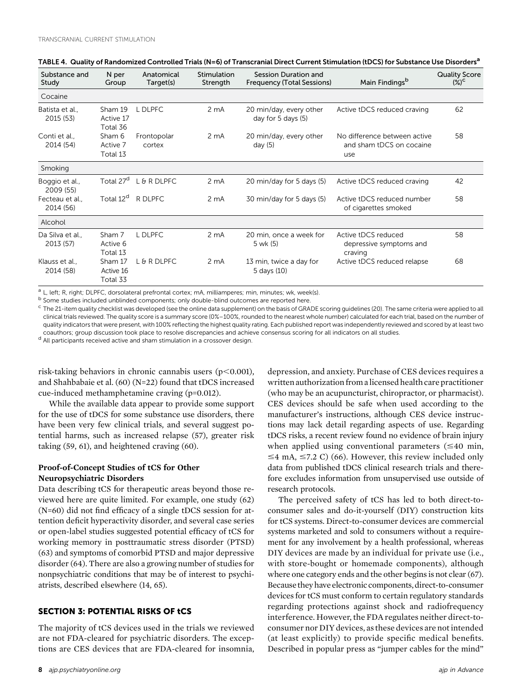| Substance and<br>Study        | N per<br>Group                   | Anatomical<br>Target(s) | Stimulation<br>Strength | Session Duration and<br>Frequency (Total Sessions) | Main Findings <sup>b</sup>                                      | <b>Quality Score</b><br>$(\%)^{\mathsf{C}}$ |
|-------------------------------|----------------------------------|-------------------------|-------------------------|----------------------------------------------------|-----------------------------------------------------------------|---------------------------------------------|
| Cocaine                       |                                  |                         |                         |                                                    |                                                                 |                                             |
| Batista et al.,<br>2015 (53)  | Sham 19<br>Active 17<br>Total 36 | L DLPFC                 | 2 <sub>m</sub> A        | 20 min/day, every other<br>day for 5 days (5)      | Active tDCS reduced craving                                     | 62                                          |
| Conti et al.,<br>2014 (54)    | Sham 6<br>Active 7<br>Total 13   | Frontopolar<br>cortex   | 2 <sub>m</sub> A        | 20 min/day, every other<br>day $(5)$               | No difference between active<br>and sham tDCS on cocaine<br>use | 58                                          |
| Smoking                       |                                  |                         |                         |                                                    |                                                                 |                                             |
| Boggio et al.,<br>2009 (55)   | Total 27 <sup>d</sup>            | L & R DLPFC             | 2 <sub>m</sub> A        | 20 min/day for 5 days (5)                          | Active tDCS reduced craving                                     | 42                                          |
| Fecteau et al<br>2014 (56)    | Total 12 <sup>d</sup>            | R DLPFC                 | 2 <sub>m</sub> A        | 30 min/day for 5 days (5)                          | Active tDCS reduced number<br>of cigarettes smoked              | 58                                          |
| Alcohol                       |                                  |                         |                         |                                                    |                                                                 |                                             |
| Da Silva et al.,<br>2013 (57) | Sham 7<br>Active 6<br>Total 13   | L DLPFC                 | 2 <sub>m</sub> A        | 20 min, once a week for<br>5 wk (5)                | Active tDCS reduced<br>depressive symptoms and<br>craving       | 58                                          |
| Klauss et al.<br>2014 (58)    | Sham 17<br>Active 16<br>Total 33 | L & R DLPFC             | 2 <sub>m</sub> A        | 13 min, twice a day for<br>5 days (10)             | Active tDCS reduced relapse                                     | 68                                          |

| TABLE 4. Quality of Randomized Controlled Trials (N=6) of Transcranial Direct Current Stimulation (tDCS) for Substance Use Disorders <sup>a</sup> |  |  |
|---------------------------------------------------------------------------------------------------------------------------------------------------|--|--|
|                                                                                                                                                   |  |  |

<sup>a</sup> L, left; R, right; DLPFC, dorsolateral prefrontal cortex; mA, milliamperes; min, minutes; wk, week(s).

<sup>b</sup> Some studies included unblinded components; only double-blind outcomes are reported here.

<sup>c</sup> The 21-item quality checklist was developed (see the online data supplement) on the basis of GRADE scoring guidelines (20). The same criteria were applied to all clinical trials reviewed. The quality score is a summary score (0%–100%, rounded to the nearest whole number) calculated for each trial, based on the number of quality indicators that were present, with 100% reflecting the highest quality rating. Each published report was independently reviewed and scored by at least two coauthors; group discussion took place to resolve discrepancies and achieve consensus scoring for all indicators on all studies.

<sup>d</sup> All participants received active and sham stimulation in a crossover design.

risk-taking behaviors in chronic cannabis users  $(p<0.001)$ , and Shahbabaie et al. (60) (N=22) found that tDCS increased cue-induced methamphetamine craving (p=0.012).

While the available data appear to provide some support for the use of tDCS for some substance use disorders, there have been very few clinical trials, and several suggest potential harms, such as increased relapse (57), greater risk taking (59, 61), and heightened craving (60).

# Proof-of-Concept Studies of tCS for Other Neuropsychiatric Disorders

Data describing tCS for therapeutic areas beyond those reviewed here are quite limited. For example, one study (62) (N=60) did not find efficacy of a single tDCS session for attention deficit hyperactivity disorder, and several case series or open-label studies suggested potential efficacy of tCS for working memory in posttraumatic stress disorder (PTSD) (63) and symptoms of comorbid PTSD and major depressive disorder (64). There are also a growing number of studies for nonpsychiatric conditions that may be of interest to psychiatrists, described elsewhere (14, 65).

# SECTION 3: POTENTIAL RISKS OF tCS

The majority of tCS devices used in the trials we reviewed are not FDA-cleared for psychiatric disorders. The exceptions are CES devices that are FDA-cleared for insomnia,

depression, and anxiety. Purchase of CES devices requires a written authorization from alicensed health care practitioner (who may be an acupuncturist, chiropractor, or pharmacist). CES devices should be safe when used according to the manufacturer's instructions, although CES device instructions may lack detail regarding aspects of use. Regarding tDCS risks, a recent review found no evidence of brain injury when applied using conventional parameters  $(\leq 40 \text{ min},$  $\leq$ 4 mA,  $\leq$ 7.2 C) (66). However, this review included only data from published tDCS clinical research trials and therefore excludes information from unsupervised use outside of research protocols.

The perceived safety of tCS has led to both direct-toconsumer sales and do-it-yourself (DIY) construction kits for tCS systems. Direct-to-consumer devices are commercial systems marketed and sold to consumers without a requirement for any involvement by a health professional, whereas DIY devices are made by an individual for private use (i.e., with store-bought or homemade components), although where one category ends and the other begins is not clear (67). Because they have electronic components, direct-to-consumer devices for tCS must conform to certain regulatory standards regarding protections against shock and radiofrequency interference. However, the FDA regulates neither direct-toconsumer nor DIY devices, as these devices are not intended (at least explicitly) to provide specific medical benefits. Described in popular press as "jumper cables for the mind"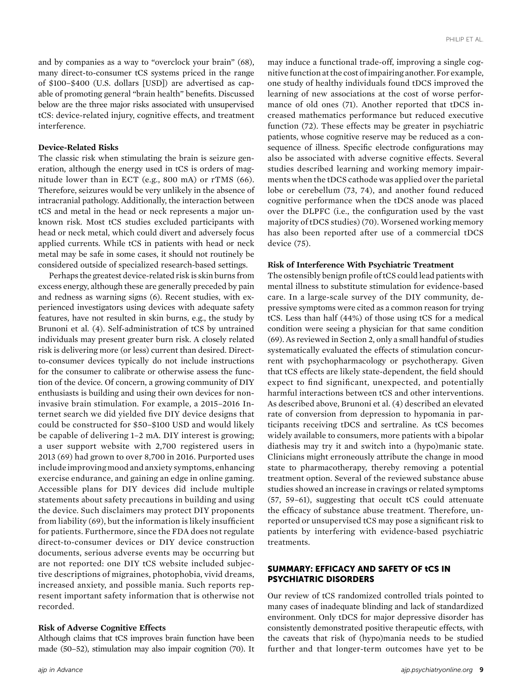and by companies as a way to "overclock your brain" (68), many direct-to-consumer tCS systems priced in the range of \$100–\$400 (U.S. dollars [USD]) are advertised as capable of promoting general "brain health" benefits. Discussed below are the three major risks associated with unsupervised tCS: device-related injury, cognitive effects, and treatment interference.

## Device-Related Risks

The classic risk when stimulating the brain is seizure generation, although the energy used in tCS is orders of magnitude lower than in ECT (e.g., 800 mA) or rTMS (66). Therefore, seizures would be very unlikely in the absence of intracranial pathology. Additionally, the interaction between tCS and metal in the head or neck represents a major unknown risk. Most tCS studies excluded participants with head or neck metal, which could divert and adversely focus applied currents. While tCS in patients with head or neck metal may be safe in some cases, it should not routinely be considered outside of specialized research-based settings.

Perhaps the greatest device-related risk is skin burns from excess energy, although these are generally preceded by pain and redness as warning signs (6). Recent studies, with experienced investigators using devices with adequate safety features, have not resulted in skin burns, e.g., the study by Brunoni et al. (4). Self-administration of tCS by untrained individuals may present greater burn risk. A closely related risk is delivering more (or less) current than desired. Directto-consumer devices typically do not include instructions for the consumer to calibrate or otherwise assess the function of the device. Of concern, a growing community of DIY enthusiasts is building and using their own devices for noninvasive brain stimulation. For example, a 2015–2016 Internet search we did yielded five DIY device designs that could be constructed for \$50–\$100 USD and would likely be capable of delivering 1–2 mA. DIY interest is growing; a user support website with 2,700 registered users in 2013 (69) had grown to over 8,700 in 2016. Purported uses includeimprovingmood and anxiety symptoms, enhancing exercise endurance, and gaining an edge in online gaming. Accessible plans for DIY devices did include multiple statements about safety precautions in building and using the device. Such disclaimers may protect DIY proponents from liability (69), but the information is likely insufficient for patients. Furthermore, since the FDA does not regulate direct-to-consumer devices or DIY device construction documents, serious adverse events may be occurring but are not reported: one DIY tCS website included subjective descriptions of migraines, photophobia, vivid dreams, increased anxiety, and possible mania. Such reports represent important safety information that is otherwise not recorded.

#### Risk of Adverse Cognitive Effects

Although claims that tCS improves brain function have been made (50–52), stimulation may also impair cognition (70). It may induce a functional trade-off, improving a single cognitive function at the cost of impairing another. For example, one study of healthy individuals found tDCS improved the learning of new associations at the cost of worse performance of old ones (71). Another reported that tDCS increased mathematics performance but reduced executive function (72). These effects may be greater in psychiatric patients, whose cognitive reserve may be reduced as a consequence of illness. Specific electrode configurations may also be associated with adverse cognitive effects. Several studies described learning and working memory impairments when the tDCS cathode was applied over the parietal lobe or cerebellum (73, 74), and another found reduced cognitive performance when the tDCS anode was placed over the DLPFC (i.e., the configuration used by the vast majority of tDCS studies) (70). Worsened working memory has also been reported after use of a commercial tDCS device (75).

#### Risk of Interference With Psychiatric Treatment

The ostensibly benign profile of tCS could lead patients with mental illness to substitute stimulation for evidence-based care. In a large-scale survey of the DIY community, depressive symptoms were cited as a common reason for trying tCS. Less than half (44%) of those using tCS for a medical condition were seeing a physician for that same condition (69). As reviewed in Section 2, only a small handful of studies systematically evaluated the effects of stimulation concurrent with psychopharmacology or psychotherapy. Given that tCS effects are likely state-dependent, the field should expect to find significant, unexpected, and potentially harmful interactions between tCS and other interventions. As described above, Brunoni et al. (4) described an elevated rate of conversion from depression to hypomania in participants receiving tDCS and sertraline. As tCS becomes widely available to consumers, more patients with a bipolar diathesis may try it and switch into a (hypo)manic state. Clinicians might erroneously attribute the change in mood state to pharmacotherapy, thereby removing a potential treatment option. Several of the reviewed substance abuse studies showed an increase in cravings or related symptoms (57, 59–61), suggesting that occult tCS could attenuate the efficacy of substance abuse treatment. Therefore, unreported or unsupervised tCS may pose a significant risk to patients by interfering with evidence-based psychiatric treatments.

## SUMMARY: EFFICACY AND SAFETY OF tCS IN PSYCHIATRIC DISORDERS

Our review of tCS randomized controlled trials pointed to many cases of inadequate blinding and lack of standardized environment. Only tDCS for major depressive disorder has consistently demonstrated positive therapeutic effects, with the caveats that risk of (hypo)mania needs to be studied further and that longer-term outcomes have yet to be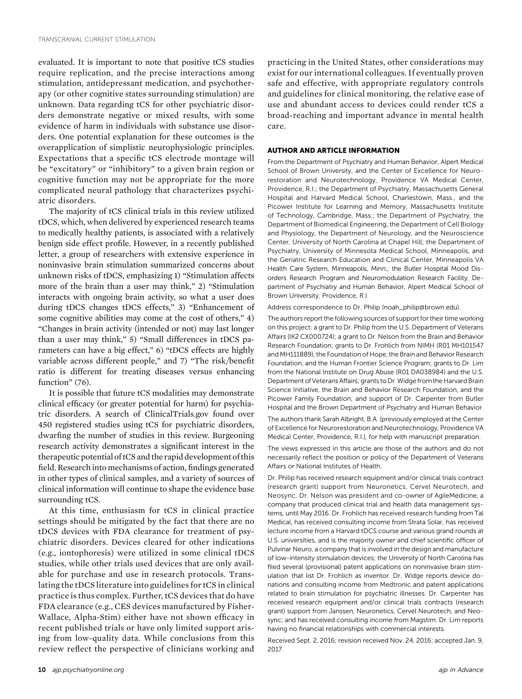evaluated. It is important to note that positive tCS studies require replication, and the precise interactions among stimulation, antidepressant medication, and psychotherapy (or other cognitive states surrounding stimulation) are unknown. Data regarding tCS for other psychiatric disorders demonstrate negative or mixed results, with some evidence of harm in individuals with substance use disorders. One potential explanation for these outcomes is the overapplication of simplistic neurophysiologic principles. Expectations that a specific tCS electrode montage will be "excitatory" or "inhibitory" to a given brain region or cognitive function may not be appropriate for the more complicated neural pathology that characterizes psychiatric disorders.

The majority of tCS clinical trials in this review utilized tDCS, which, when delivered by experienced research teams to medically healthy patients, is associated with a relatively benign side effect profile. However, in a recently published letter, a group of researchers with extensive experience in noninvasive brain stimulation summarized concerns about unknown risks of tDCS, emphasizing 1) "Stimulation affects more of the brain than a user may think," 2) "Stimulation interacts with ongoing brain activity, so what a user does during tDCS changes tDCS effects," 3) "Enhancement of some cognitive abilities may come at the cost of others," 4) "Changes in brain activity (intended or not) may last longer than a user may think," 5) "Small differences in tDCS parameters can have a big effect," 6) "tDCS effects are highly variable across different people," and 7) "The risk/benefit ratio is different for treating diseases versus enhancing function" (76).

It is possible that future tCS modalities may demonstrate clinical efficacy (or greater potential for harm) for psychiatric disorders. A search of ClinicalTrials.gov found over 450 registered studies using tCS for psychiatric disorders, dwarfing the number of studies in this review. Burgeoning research activity demonstrates a significant interest in the therapeutic potential of tCS and the rapid development of this field. Research into mechanisms of action, findings generated in other types of clinical samples, and a variety of sources of clinical information will continue to shape the evidence base surrounding tCS.

At this time, enthusiasm for tCS in clinical practice settings should be mitigated by the fact that there are no tDCS devices with FDA clearance for treatment of psychiatric disorders. Devices cleared for other indications (e.g., iontophoresis) were utilized in some clinical tDCS studies, while other trials used devices that are only available for purchase and use in research protocols. Translating the tDCS literature into guidelines for tCS in clinical practice is thus complex. Further, tCS devices that do have FDA clearance (e.g., CES devices manufactured by Fisher-Wallace, Alpha-Stim) either have not shown efficacy in recent published trials or have only limited support arising from low-quality data. While conclusions from this review reflect the perspective of clinicians working and

practicing in the United States, other considerations may exist for our international colleagues. If eventually proven safe and effective, with appropriate regulatory controls and guidelines for clinical monitoring, the relative ease of use and abundant access to devices could render tCS a broad-reaching and important advance in mental health care.

#### AUTHOR AND ARTICLE INFORMATION

From the Department of Psychiatry and Human Behavior, Alpert Medical School of Brown University, and the Center of Excellence for Neurorestoration and Neurotechnology, Providence VA Medical Center, Providence, R.I.; the Department of Psychiatry, Massachusetts General Hospital and Harvard Medical School, Charlestown, Mass., and the Picower Institute for Learning and Memory, Massachusetts Institute of Technology, Cambridge, Mass.; the Department of Psychiatry, the Department of Biomedical Engineering, the Department of Cell Biology and Physiology, the Department of Neurology, and the Neuroscience Center, University of North Carolina at Chapel Hill; the Department of Psychiatry, University of Minnesota Medical School, Minneapolis, and the Geriatric Research Education and Clinical Center, Minneapolis VA Health Care System, Minneapolis, Minn.; the Butler Hospital Mood Disorders Research Program and Neuromodulation Research Facility, Department of Psychiatry and Human Behavior, Alpert Medical School of Brown University, Providence, R.I.

Address correspondence to Dr. Philip [\(noah\\_philip@brown.edu\)](mailto:noah_philip@brown.edu).

The authors report the following sources of support for their time working on this project: a grant to Dr. Philip from the U.S. Department of Veterans Affairs (IK2 CX000724); a grant to Dr. Nelson from the Brain and Behavior Research Foundation; grants to Dr. Frohlich from NIMH (R01 MH101547 and MH111889), the Foundation of Hope, the Brain and Behavior Research Foundation, and the Human Frontier Science Program; grants to Dr. Lim from the National Institute on Drug Abuse (R01 DA038984) and the U.S. Department of Veterans Affairs; grants to Dr.Widge from the Harvard Brain Science Initiative, the Brain and Behavior Research Foundation, and the Picower Family Foundation; and support of Dr. Carpenter from Butler Hospital and the Brown Department of Psychiatry and Human Behavior.

The authors thank Sarah Albright, B.A. (previously employed at the Center of Excellence for Neurorestoration and Neurotechnology, Providence VA Medical Center, Providence, R.I.), for help with manuscript preparation.

The views expressed in this article are those of the authors and do not necessarily reflect the position or policy of the Department of Veterans Affairs or National Institutes of Health.

Dr. Philip has received research equipment and/or clinical trials contract (research grant) support from Neuronetics, Cervel Neurotech, and Neosync. Dr. Nelson was president and co-owner of AgileMedicine, a company that produced clinical trial and health data management systems, until May 2016. Dr. Frohlich has received research funding from Tal Medical, has received consulting income from Strata Solar, has received lecture income from a Harvard tDCS course and various grand rounds at U.S. universities, and is the majority owner and chief scientific officer of Pulvinar Neuro, a company that is involved in the design and manufacture of low-intensity stimulation devices; the University of North Carolina has filed several (provisional) patent applications on noninvasive brain stimulation that list Dr. Frohlich as inventor. Dr. Widge reports device donations and consulting income from Medtronic and patent applications related to brain stimulation for psychiatric illnesses. Dr. Carpenter has received research equipment and/or clinical trials contracts (research grant) support from Janssen, Neuronetics, Cervel Neurotech, and Neosync; and has received consulting income from Magstim. Dr. Lim reports having no financial relationships with commercial interests.

Received Sept. 2, 2016; revision received Nov. 24, 2016; accepted Jan. 9, 2017.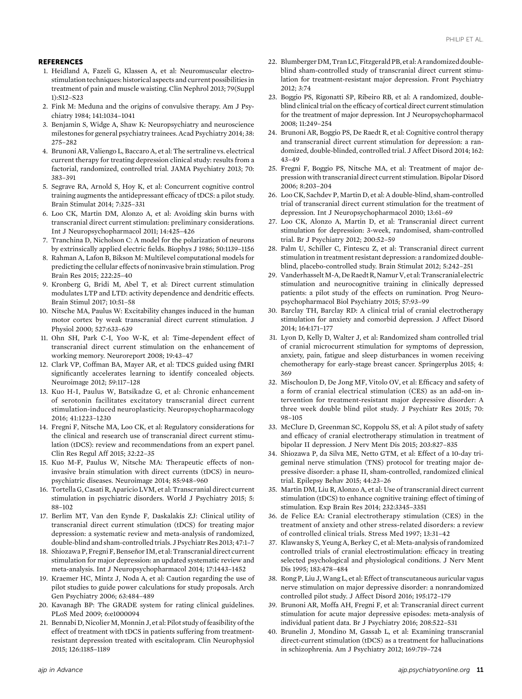#### **REFERENCES**

- 1. Heidland A, Fazeli G, Klassen A, et al: Neuromuscular electrostimulation techniques: historical aspects and current possibilities in treatment of pain and muscle waisting. Clin Nephrol 2013; 79(Suppl 1):S12–S23
- 2. Fink M: Meduna and the origins of convulsive therapy. Am J Psychiatry 1984; 141:1034–1041
- 3. Benjamin S, Widge A, Shaw K: Neuropsychiatry and neuroscience milestones for general psychiatry trainees. Acad Psychiatry 2014; 38: 275–282
- 4. Brunoni AR, Valiengo L, Baccaro A, et al: The sertraline vs. electrical current therapy for treating depression clinical study: results from a factorial, randomized, controlled trial. JAMA Psychiatry 2013; 70: 383–391
- 5. Segrave RA, Arnold S, Hoy K, et al: Concurrent cognitive control training augments the antidepressant efficacy of tDCS: a pilot study. Brain Stimulat 2014; 7:325–331
- 6. Loo CK, Martin DM, Alonzo A, et al: Avoiding skin burns with transcranial direct current stimulation: preliminary considerations. Int J Neuropsychopharmacol 2011; 14:425–426
- 7. Tranchina D, Nicholson C: A model for the polarization of neurons by extrinsically applied electric fields. Biophys J 1986; 50:1139–1156
- 8. Rahman A, Lafon B, Bikson M: Multilevel computational models for predicting the cellular effects of noninvasive brain stimulation. Prog Brain Res 2015; 222:25–40
- 9. Kronberg G, Bridi M, Abel T, et al: Direct current stimulation modulates LTP and LTD: activity dependence and dendritic effects. Brain Stimul 2017; 10:51–58
- 10. Nitsche MA, Paulus W: Excitability changes induced in the human motor cortex by weak transcranial direct current stimulation. J Physiol 2000; 527:633–639
- 11. Ohn SH, Park C-I, Yoo W-K, et al: Time-dependent effect of transcranial direct current stimulation on the enhancement of working memory. Neuroreport 2008; 19:43–47
- 12. Clark VP, Coffman BA, Mayer AR, et al: TDCS guided using fMRI significantly accelerates learning to identify concealed objects. Neuroimage 2012; 59:117–128
- 13. Kuo H-I, Paulus W, Batsikadze G, et al: Chronic enhancement of serotonin facilitates excitatory transcranial direct current stimulation-induced neuroplasticity. Neuropsychopharmacology 2016; 41:1223–1230
- 14. Fregni F, Nitsche MA, Loo CK, et al: Regulatory considerations for the clinical and research use of transcranial direct current stimulation (tDCS): review and recommendations from an expert panel. Clin Res Regul Aff 2015; 32:22–35
- 15. Kuo M-F, Paulus W, Nitsche MA: Therapeutic effects of noninvasive brain stimulation with direct currents (tDCS) in neuropsychiatric diseases. Neuroimage 2014; 85:948–960
- 16. Tortella G, Casati R, Aparicio LVM, et al: Transcranial direct current stimulation in psychiatric disorders. World J Psychiatry 2015; 5: 88–102
- 17. Berlim MT, Van den Eynde F, Daskalakis ZJ: Clinical utility of transcranial direct current stimulation (tDCS) for treating major depression: a systematic review and meta-analysis of randomized, double-blind and sham-controlled trials. J Psychiatr Res 2013; 47:1–7
- 18. Shiozawa P, Fregni F, Benseñor IM, et al: Transcranial direct current stimulation for major depression: an updated systematic review and meta-analysis. Int J Neuropsychopharmacol 2014; 17:1443–1452
- 19. Kraemer HC, Mintz J, Noda A, et al: Caution regarding the use of pilot studies to guide power calculations for study proposals. Arch Gen Psychiatry 2006; 63:484–489
- 20. Kavanagh BP: The GRADE system for rating clinical guidelines. PLoS Med 2009; 6:e1000094
- 21. Bennabi D, Nicolier M, Monnin J, et al: Pilot study of feasibility of the effect of treatment with tDCS in patients suffering from treatmentresistant depression treated with escitalopram. Clin Neurophysiol 2015; 126:1185–1189
- 22. Blumberger DM, Tran LC, Fitzgerald PB, et al: A randomized doubleblind sham-controlled study of transcranial direct current stimulation for treatment-resistant major depression. Front Psychiatry 2012; 3:74
- 23. Boggio PS, Rigonatti SP, Ribeiro RB, et al: A randomized, doubleblind clinical trial on the efficacy of cortical direct current stimulation for the treatment of major depression. Int J Neuropsychopharmacol 2008; 11:249–254
- 24. Brunoni AR, Boggio PS, De Raedt R, et al: Cognitive control therapy and transcranial direct current stimulation for depression: a randomized, double-blinded, controlled trial. J Affect Disord 2014; 162: 43–49
- 25. Fregni F, Boggio PS, Nitsche MA, et al: Treatment of major depression with transcranial direct current stimulation. Bipolar Disord 2006; 8:203–204
- 26. Loo CK, Sachdev P, Martin D, et al: A double-blind, sham-controlled trial of transcranial direct current stimulation for the treatment of depression. Int J Neuropsychopharmacol 2010; 13:61–69
- 27. Loo CK, Alonzo A, Martin D, et al: Transcranial direct current stimulation for depression: 3-week, randomised, sham-controlled trial. Br J Psychiatry 2012; 200:52–59
- 28. Palm U, Schiller C, Fintescu Z, et al: Transcranial direct current stimulation in treatment resistant depression: a randomized doubleblind, placebo-controlled study. Brain Stimulat 2012; 5:242–251
- 29. Vanderhasselt M-A, De Raedt R, Namur V, et al: Transcranial electric stimulation and neurocognitive training in clinically depressed patients: a pilot study of the effects on rumination. Prog Neuropsychopharmacol Biol Psychiatry 2015; 57:93–99
- 30. Barclay TH, Barclay RD: A clinical trial of cranial electrotherapy stimulation for anxiety and comorbid depression. J Affect Disord 2014; 164:171–177
- 31. Lyon D, Kelly D, Walter J, et al: Randomized sham controlled trial of cranial microcurrent stimulation for symptoms of depression, anxiety, pain, fatigue and sleep disturbances in women receiving chemotherapy for early-stage breast cancer. Springerplus 2015; 4: 369
- 32. Mischoulon D, De Jong MF, Vitolo OV, et al: Efficacy and safety of a form of cranial electrical stimulation (CES) as an add-on intervention for treatment-resistant major depressive disorder: A three week double blind pilot study. J Psychiatr Res 2015; 70: 98–105
- 33. McClure D, Greenman SC, Koppolu SS, et al: A pilot study of safety and efficacy of cranial electrotherapy stimulation in treatment of bipolar II depression. J Nerv Ment Dis 2015; 203:827–835
- 34. Shiozawa P, da Silva ME, Netto GTM, et al: Effect of a 10-day trigeminal nerve stimulation (TNS) protocol for treating major depressive disorder: a phase II, sham-controlled, randomized clinical trial. Epilepsy Behav 2015; 44:23–26
- 35. Martin DM, Liu R, Alonzo A, et al: Use of transcranial direct current stimulation (tDCS) to enhance cognitive training: effect of timing of stimulation. Exp Brain Res 2014; 232:3345–3351
- 36. de Felice EA: Cranial electrotherapy stimulation (CES) in the treatment of anxiety and other stress-related disorders: a review of controlled clinical trials. Stress Med 1997; 13:31–42
- 37. Klawansky S, Yeung A, Berkey C, et al: Meta-analysis of randomized controlled trials of cranial electrostimulation: efficacy in treating selected psychological and physiological conditions. J Nerv Ment Dis 1995; 183:478–484
- 38. Rong P, Liu J,Wang L, et al: Effect of transcutaneous auricular vagus nerve stimulation on major depressive disorder: a nonrandomized controlled pilot study. J Affect Disord 2016; 195:172–179
- 39. Brunoni AR, Moffa AH, Fregni F, et al: Transcranial direct current stimulation for acute major depressive episodes: meta-analysis of individual patient data. Br J Psychiatry 2016; 208:522–531
- 40. Brunelin J, Mondino M, Gassab L, et al: Examining transcranial direct-current stimulation (tDCS) as a treatment for hallucinations in schizophrenia. Am J Psychiatry 2012; 169:719–724